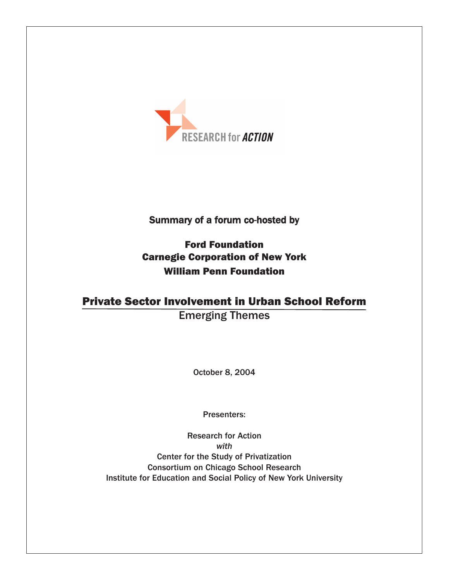

## Summary of a forum co-hosted by

# Ford Foundation Carnegie Corporation of New York William Penn Foundation

# Private Sector Involvement in Urban School Reform Emerging Themes

October 8, 2004

Presenters:

Research for Action *with* Center for the Study of Privatization Consortium on Chicago School Research Institute for Education and Social Policy of New York University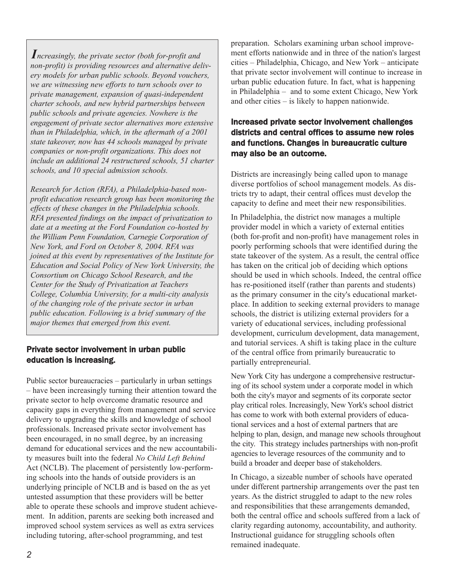*ncreasingly, the private sector (both for-profit and Inon-profit) is providing resources and alternative delivery models for urban public schools. Beyond vouchers, we are witnessing new efforts to turn schools over to private management, expansion of quasi-independent charter schools, and new hybrid partnerships between public schools and private agencies. Nowhere is the engagement of private sector alternatives more extensive than in Philadelphia, which, in the aftermath of a 2001 state takeover, now has 44 schools managed by private companies or non-profit organizations. This does not include an additional 24 restructured schools, 51 charter schools, and 10 special admission schools.*

*Research for Action (RFA), a Philadelphia-based nonprofit education research group has been monitoring the effects of these changes in the Philadelphia schools. RFA presented findings on the impact of privatization to date at a meeting at the Ford Foundation co-hosted by the William Penn Foundation, Carnegie Corporation of New York, and Ford on October 8, 2004. RFA was joined at this event by representatives of the Institute for Education and Social Policy of New York University, the Consortium on Chicago School Research, and the Center for the Study of Privatization at Teachers College, Columbia University, for a multi-city analysis of the changing role of the private sector in urban public education. Following is a brief summary of the major themes that emerged from this event.* 

### Private sector involvement in urban public education is increasing.

Public sector bureaucracies – particularly in urban settings – have been increasingly turning their attention toward the private sector to help overcome dramatic resource and capacity gaps in everything from management and service delivery to upgrading the skills and knowledge of school professionals. Increased private sector involvement has been encouraged, in no small degree, by an increasing demand for educational services and the new accountability measures built into the federal *No Child Left Behind* Act (NCLB). The placement of persistently low-performing schools into the hands of outside providers is an underlying principle of NCLB and is based on the as yet untested assumption that these providers will be better able to operate these schools and improve student achievement. In addition, parents are seeking both increased and improved school system services as well as extra services including tutoring, after-school programming, and test

preparation. Scholars examining urban school improvement efforts nationwide and in three of the nation's largest cities – Philadelphia, Chicago, and New York – anticipate that private sector involvement will continue to increase in urban public education future. In fact, what is happening in Philadelphia – and to some extent Chicago, New York and other cities – is likely to happen nationwide.

### Increased private sector involvement challenges districts and central offices to assume new roles and functions. Changes in bureaucratic culture may also be an outcome.

Districts are increasingly being called upon to manage diverse portfolios of school management models. As districts try to adapt, their central offices must develop the capacity to define and meet their new responsibilities.

In Philadelphia, the district now manages a multiple provider model in which a variety of external entities (both for-profit and non-profit) have management roles in poorly performing schools that were identified during the state takeover of the system. As a result, the central office has taken on the critical job of deciding which options should be used in which schools. Indeed, the central office has re-positioned itself (rather than parents and students) as the primary consumer in the city's educational marketplace. In addition to seeking external providers to manage schools, the district is utilizing external providers for a variety of educational services, including professional development, curriculum development, data management, and tutorial services. A shift is taking place in the culture of the central office from primarily bureaucratic to partially entrepreneurial.

New York City has undergone a comprehensive restructuring of its school system under a corporate model in which both the city's mayor and segments of its corporate sector play critical roles. Increasingly, New York's school district has come to work with both external providers of educational services and a host of external partners that are helping to plan, design, and manage new schools throughout the city. This strategy includes partnerships with non-profit agencies to leverage resources of the community and to build a broader and deeper base of stakeholders.

In Chicago, a sizeable number of schools have operated under different partnership arrangements over the past ten years. As the district struggled to adapt to the new roles and responsibilities that these arrangements demanded, both the central office and schools suffered from a lack of clarity regarding autonomy, accountability, and authority. Instructional guidance for struggling schools often remained inadequate.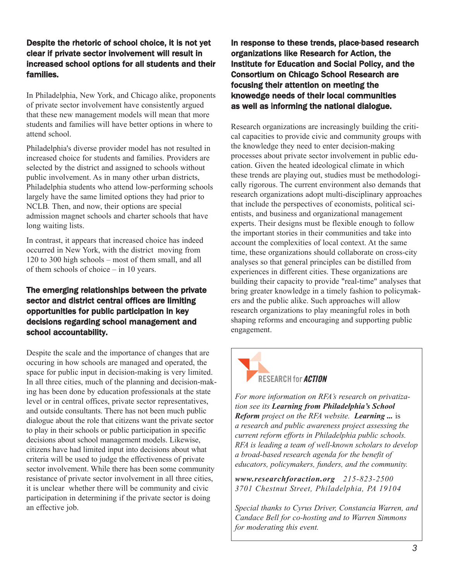### Despite the rhetoric of school choice, it is not yet clear if private sector involvement will result in increased school options for all students and their families.

In Philadelphia, New York, and Chicago alike, proponents of private sector involvement have consistently argued that these new management models will mean that more students and families will have better options in where to attend school.

Philadelphia's diverse provider model has not resulted in increased choice for students and families. Providers are selected by the district and assigned to schools without public involvement. As in many other urban districts, Philadelphia students who attend low-performing schools largely have the same limited options they had prior to NCLB*.* Then, and now, their options are special admission magnet schools and charter schools that have long waiting lists.

In contrast, it appears that increased choice has indeed occurred in New York, with the district moving from 120 to 300 high schools – most of them small, and all of them schools of choice – in 10 years.

### The emerging relationships between the private sector and district central offices are limiting opportunities for public participation in key decisions regarding school management and school accountability.

Despite the scale and the importance of changes that are occuring in how schools are managed and operated, the space for public input in decision-making is very limited. In all three cities, much of the planning and decision-making has been done by education professionals at the state level or in central offices, private sector representatives, and outside consultants. There has not been much public dialogue about the role that citizens want the private sector to play in their schools or public participation in specific decisions about school management models. Likewise, citizens have had limited input into decisions about what criteria will be used to judge the effectiveness of private sector involvement. While there has been some community resistance of private sector involvement in all three cities, it is unclear whether there will be community and civic participation in determining if the private sector is doing an effective job.

In response to these trends, place-based research organizations like Research for Action, the Institute for Education and Social Policy, and the Consortium on Chicago School Research are focusing their attention on meeting the knowedge needs of their local communities as well as informing the national dialogue.

Research organizations are increasingly building the critical capacities to provide civic and community groups with the knowledge they need to enter decision-making processes about private sector involvement in public education. Given the heated ideological climate in which these trends are playing out, studies must be methodologically rigorous. The current environment also demands that research organizations adopt multi-disciplinary approaches that include the perspectives of economists, political scientists, and business and organizational management experts. Their designs must be flexible enough to follow the important stories in their communities and take into account the complexities of local context. At the same time, these organizations should collaborate on cross-city analyses so that general principles can be distilled from experiences in different cities. These organizations are building their capacity to provide "real-time" analyses that bring greater knowledge in a timely fashion to policymakers and the public alike. Such approaches will allow research organizations to play meaningful roles in both shaping reforms and encouraging and supporting public engagement.

# **RESEARCH for ACTION**

*For more information on RFA's research on privatization see its Learning from Philadelphia's School Reform project on the RFA website. Learning ...* is *a research and public awareness project assessing the current reform efforts in Philadelphia public schools. RFA is leading a team of well-known scholars to develop a broad-based research agenda for the benefit of educators, policymakers, funders, and the community.*

*www.researchforaction.org 215-823-2500 3701 Chestnut Street, Philadelphia, PA 19104*

*Special thanks to Cyrus Driver, Constancia Warren, and Candace Bell for co-hosting and to Warren Simmons for moderating this event.*